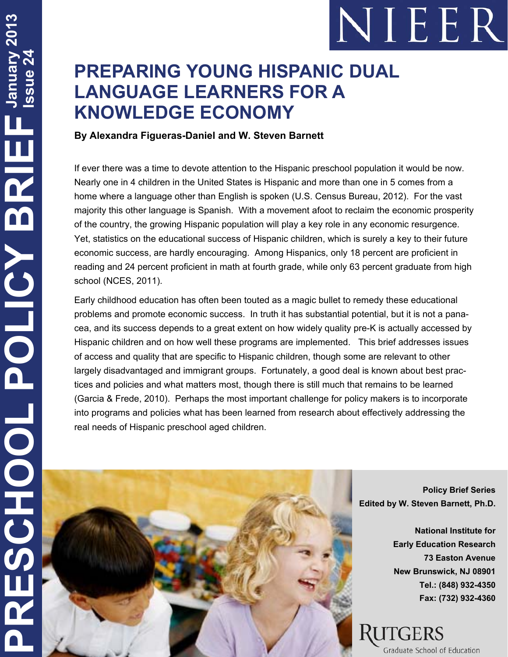# NIEER

## **PREPARING YOUNG HISPANIC DUAL LANGUAGE LEARNERS FOR A KNOWLEDGE ECONOMY**

#### **By Alexandra Figueras-Daniel and W. Steven Barnett**

If ever there was a time to devote attention to the Hispanic preschool population it would be now. Nearly one in 4 children in the United States is Hispanic and more than one in 5 comes from a home where a language other than English is spoken (U.S. Census Bureau, 2012). For the vast majority this other language is Spanish. With a movement afoot to reclaim the economic prosperity of the country, the growing Hispanic population will play a key role in any economic resurgence. Yet, statistics on the educational success of Hispanic children, which is surely a key to their future economic success, are hardly encouraging. Among Hispanics, only 18 percent are proficient in reading and 24 percent proficient in math at fourth grade, while only 63 percent graduate from high school (NCES, 2011).

Early childhood education has often been touted as a magic bullet to remedy these educational problems and promote economic success. In truth it has substantial potential, but it is not a panacea, and its success depends to a great extent on how widely quality pre-K is actually accessed by Hispanic children and on how well these programs are implemented. This brief addresses issues of access and quality that are specific to Hispanic children, though some are relevant to other largely disadvantaged and immigrant groups. Fortunately, a good deal is known about best practices and policies and what matters most, though there is still much that remains to be learned (Garcia & Frede, 2010). Perhaps the most important challenge for policy makers is to incorporate into programs and policies what has been learned from research about effectively addressing the real needs of Hispanic preschool aged children.



**Policy Brief Series Edited by W. Steven Barnett, Ph.D.** 

> **National Institute for Early Education Research 73 Easton Avenue New Brunswick, NJ 08901 Tel.: (848) 932-4350 Fax: (732) 932-4360**

# Graduate School of Education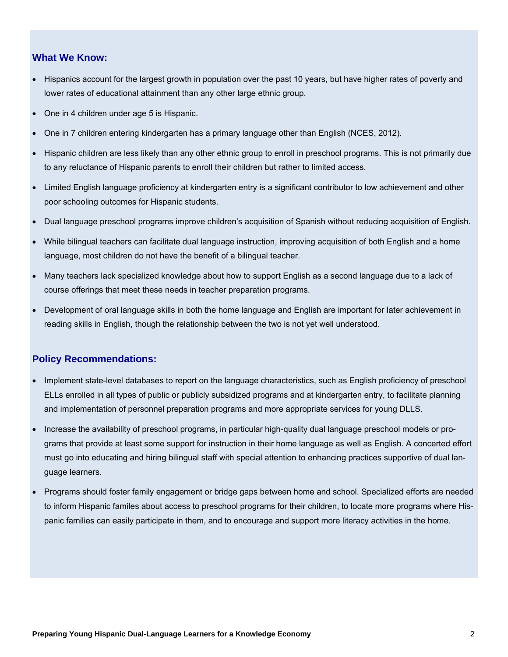#### **What We Know:**

- Hispanics account for the largest growth in population over the past 10 years, but have higher rates of poverty and lower rates of educational attainment than any other large ethnic group.
- One in 4 children under age 5 is Hispanic.
- One in 7 children entering kindergarten has a primary language other than English (NCES, 2012).
- Hispanic children are less likely than any other ethnic group to enroll in preschool programs. This is not primarily due to any reluctance of Hispanic parents to enroll their children but rather to limited access.
- Limited English language proficiency at kindergarten entry is a significant contributor to low achievement and other poor schooling outcomes for Hispanic students.
- Dual language preschool programs improve children's acquisition of Spanish without reducing acquisition of English.
- While bilingual teachers can facilitate dual language instruction, improving acquisition of both English and a home language, most children do not have the benefit of a bilingual teacher.
- Many teachers lack specialized knowledge about how to support English as a second language due to a lack of course offerings that meet these needs in teacher preparation programs.
- Development of oral language skills in both the home language and English are important for later achievement in reading skills in English, though the relationship between the two is not yet well understood.

#### **Policy Recommendations:**

- Implement state-level databases to report on the language characteristics, such as English proficiency of preschool ELLs enrolled in all types of public or publicly subsidized programs and at kindergarten entry, to facilitate planning and implementation of personnel preparation programs and more appropriate services for young DLLS.
- Increase the availability of preschool programs, in particular high-quality dual language preschool models or programs that provide at least some support for instruction in their home language as well as English. A concerted effort must go into educating and hiring bilingual staff with special attention to enhancing practices supportive of dual language learners.
- Programs should foster family engagement or bridge gaps between home and school. Specialized efforts are needed to inform Hispanic familes about access to preschool programs for their children, to locate more programs where Hispanic families can easily participate in them, and to encourage and support more literacy activities in the home.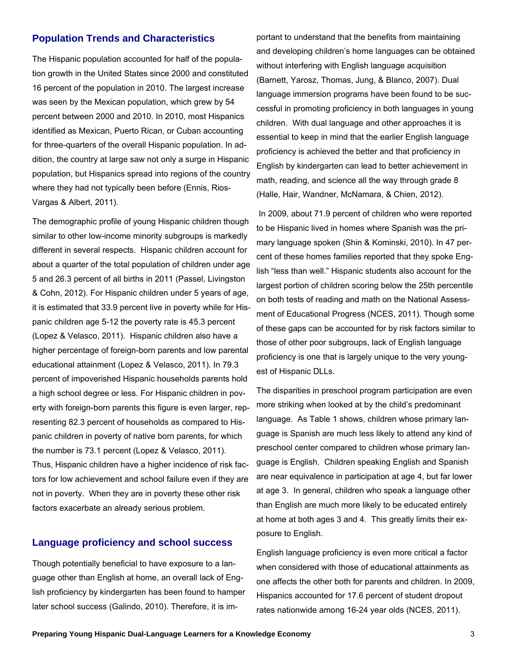#### **Population Trends and Characteristics**

The Hispanic population accounted for half of the population growth in the United States since 2000 and constituted 16 percent of the population in 2010. The largest increase was seen by the Mexican population, which grew by 54 percent between 2000 and 2010. In 2010, most Hispanics identified as Mexican, Puerto Rican, or Cuban accounting for three-quarters of the overall Hispanic population. In addition, the country at large saw not only a surge in Hispanic population, but Hispanics spread into regions of the country where they had not typically been before (Ennis, Rios-Vargas & Albert, 2011).

The demographic profile of young Hispanic children though similar to other low-income minority subgroups is markedly different in several respects. Hispanic children account for about a quarter of the total population of children under age 5 and 26.3 percent of all births in 2011 (Passel, Livingston & Cohn, 2012). For Hispanic children under 5 years of age, it is estimated that 33.9 percent live in poverty while for Hispanic children age 5-12 the poverty rate is 45.3 percent (Lopez & Velasco, 2011). Hispanic children also have a higher percentage of foreign-born parents and low parental educational attainment (Lopez & Velasco, 2011). In 79.3 percent of impoverished Hispanic households parents hold a high school degree or less. For Hispanic children in poverty with foreign-born parents this figure is even larger, representing 82.3 percent of households as compared to Hispanic children in poverty of native born parents, for which the number is 73.1 percent (Lopez & Velasco, 2011). Thus, Hispanic children have a higher incidence of risk factors for low achievement and school failure even if they are not in poverty. When they are in poverty these other risk factors exacerbate an already serious problem.

#### **Language proficiency and school success**

Though potentially beneficial to have exposure to a language other than English at home, an overall lack of English proficiency by kindergarten has been found to hamper later school success (Galindo, 2010). Therefore, it is important to understand that the benefits from maintaining and developing children's home languages can be obtained without interfering with English language acquisition (Barnett, Yarosz, Thomas, Jung, & Blanco, 2007). Dual language immersion programs have been found to be successful in promoting proficiency in both languages in young children. With dual language and other approaches it is essential to keep in mind that the earlier English language proficiency is achieved the better and that proficiency in English by kindergarten can lead to better achievement in math, reading, and science all the way through grade 8 (Halle, Hair, Wandner, McNamara, & Chien, 2012).

 In 2009, about 71.9 percent of children who were reported to be Hispanic lived in homes where Spanish was the primary language spoken (Shin & Kominski, 2010). In 47 percent of these homes families reported that they spoke English "less than well." Hispanic students also account for the largest portion of children scoring below the 25th percentile on both tests of reading and math on the National Assessment of Educational Progress (NCES, 2011). Though some of these gaps can be accounted for by risk factors similar to those of other poor subgroups, lack of English language proficiency is one that is largely unique to the very youngest of Hispanic DLLs.

The disparities in preschool program participation are even more striking when looked at by the child's predominant language. As Table 1 shows, children whose primary language is Spanish are much less likely to attend any kind of preschool center compared to children whose primary language is English. Children speaking English and Spanish are near equivalence in participation at age 4, but far lower at age 3. In general, children who speak a language other than English are much more likely to be educated entirely at home at both ages 3 and 4. This greatly limits their exposure to English.

English language proficiency is even more critical a factor when considered with those of educational attainments as one affects the other both for parents and children. In 2009, Hispanics accounted for 17.6 percent of student dropout rates nationwide among 16-24 year olds (NCES, 2011).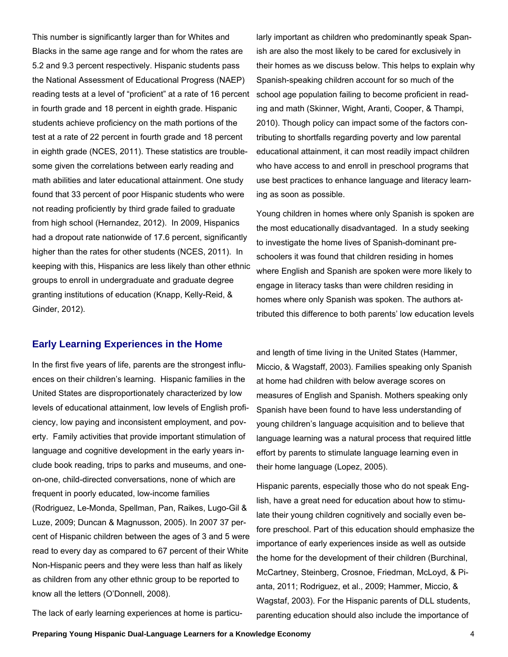This number is significantly larger than for Whites and Blacks in the same age range and for whom the rates are 5.2 and 9.3 percent respectively. Hispanic students pass the National Assessment of Educational Progress (NAEP) reading tests at a level of "proficient" at a rate of 16 percent in fourth grade and 18 percent in eighth grade. Hispanic students achieve proficiency on the math portions of the test at a rate of 22 percent in fourth grade and 18 percent in eighth grade (NCES, 2011). These statistics are troublesome given the correlations between early reading and math abilities and later educational attainment. One study found that 33 percent of poor Hispanic students who were not reading proficiently by third grade failed to graduate from high school (Hernandez, 2012). In 2009, Hispanics had a dropout rate nationwide of 17.6 percent, significantly higher than the rates for other students (NCES, 2011). In keeping with this, Hispanics are less likely than other ethnic groups to enroll in undergraduate and graduate degree granting institutions of education (Knapp, Kelly-Reid, & Ginder, 2012).

#### **Early Learning Experiences in the Home**

In the first five years of life, parents are the strongest influences on their children's learning. Hispanic families in the United States are disproportionately characterized by low levels of educational attainment, low levels of English proficiency, low paying and inconsistent employment, and poverty. Family activities that provide important stimulation of language and cognitive development in the early years include book reading, trips to parks and museums, and oneon-one, child-directed conversations, none of which are frequent in poorly educated, low-income families (Rodriguez, Le-Monda, Spellman, Pan, Raikes, Lugo-Gil & Luze, 2009; Duncan & Magnusson, 2005). In 2007 37 percent of Hispanic children between the ages of 3 and 5 were read to every day as compared to 67 percent of their White Non-Hispanic peers and they were less than half as likely as children from any other ethnic group to be reported to know all the letters (O'Donnell, 2008).

The lack of early learning experiences at home is particu-

larly important as children who predominantly speak Spanish are also the most likely to be cared for exclusively in their homes as we discuss below. This helps to explain why Spanish-speaking children account for so much of the school age population failing to become proficient in reading and math (Skinner, Wight, Aranti, Cooper, & Thampi, 2010). Though policy can impact some of the factors contributing to shortfalls regarding poverty and low parental educational attainment, it can most readily impact children who have access to and enroll in preschool programs that use best practices to enhance language and literacy learning as soon as possible.

Young children in homes where only Spanish is spoken are the most educationally disadvantaged. In a study seeking to investigate the home lives of Spanish-dominant preschoolers it was found that children residing in homes where English and Spanish are spoken were more likely to engage in literacy tasks than were children residing in homes where only Spanish was spoken. The authors attributed this difference to both parents' low education levels

and length of time living in the United States (Hammer, Miccio, & Wagstaff, 2003). Families speaking only Spanish at home had children with below average scores on measures of English and Spanish. Mothers speaking only Spanish have been found to have less understanding of young children's language acquisition and to believe that language learning was a natural process that required little effort by parents to stimulate language learning even in their home language (Lopez, 2005).

Hispanic parents, especially those who do not speak English, have a great need for education about how to stimulate their young children cognitively and socially even before preschool. Part of this education should emphasize the importance of early experiences inside as well as outside the home for the development of their children (Burchinal, McCartney, Steinberg, Crosnoe, Friedman, McLoyd, & Pianta, 2011; Rodriguez, et al., 2009; Hammer, Miccio, & Wagstaf, 2003). For the Hispanic parents of DLL students, parenting education should also include the importance of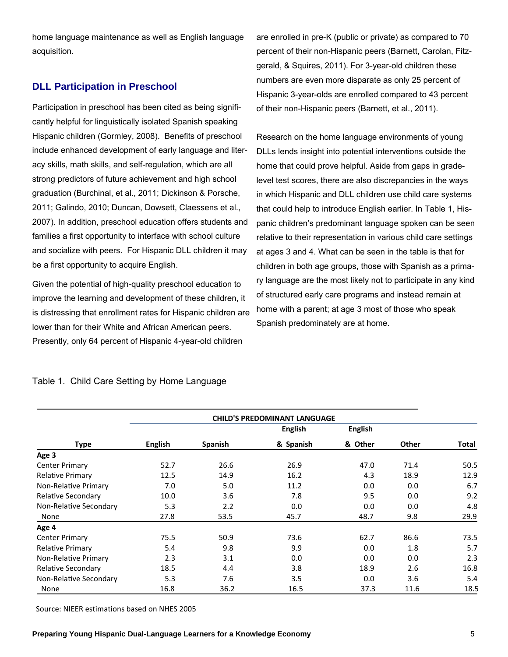home language maintenance as well as English language acquisition.

#### **DLL Participation in Preschool**

Participation in preschool has been cited as being significantly helpful for linguistically isolated Spanish speaking Hispanic children (Gormley, 2008). Benefits of preschool include enhanced development of early language and literacy skills, math skills, and self-regulation, which are all strong predictors of future achievement and high school graduation (Burchinal, et al., 2011; Dickinson & Porsche, 2011; Galindo, 2010; Duncan, Dowsett, Claessens et al., 2007). In addition, preschool education offers students and families a first opportunity to interface with school culture and socialize with peers. For Hispanic DLL children it may be a first opportunity to acquire English.

Given the potential of high-quality preschool education to improve the learning and development of these children, it is distressing that enrollment rates for Hispanic children are lower than for their White and African American peers. Presently, only 64 percent of Hispanic 4-year-old children

are enrolled in pre-K (public or private) as compared to 70 percent of their non-Hispanic peers (Barnett, Carolan, Fitzgerald, & Squires, 2011). For 3-year-old children these numbers are even more disparate as only 25 percent of Hispanic 3-year-olds are enrolled compared to 43 percent of their non-Hispanic peers (Barnett, et al., 2011).

Research on the home language environments of young DLLs lends insight into potential interventions outside the home that could prove helpful. Aside from gaps in gradelevel test scores, there are also discrepancies in the ways in which Hispanic and DLL children use child care systems that could help to introduce English earlier. In Table 1, Hispanic children's predominant language spoken can be seen relative to their representation in various child care settings at ages 3 and 4. What can be seen in the table is that for children in both age groups, those with Spanish as a primary language are the most likely not to participate in any kind of structured early care programs and instead remain at home with a parent; at age 3 most of those who speak Spanish predominately are at home.

|                         | <b>CHILD'S PREDOMINANT LANGUAGE</b> |                |                |                |              |       |  |  |
|-------------------------|-------------------------------------|----------------|----------------|----------------|--------------|-------|--|--|
|                         |                                     |                | <b>English</b> | <b>English</b> |              |       |  |  |
| <b>Type</b>             | <b>English</b>                      | <b>Spanish</b> | & Spanish      | & Other        | <b>Other</b> | Total |  |  |
| Age 3                   |                                     |                |                |                |              |       |  |  |
| <b>Center Primary</b>   | 52.7                                | 26.6           | 26.9           | 47.0           | 71.4         | 50.5  |  |  |
| <b>Relative Primary</b> | 12.5                                | 14.9           | 16.2           | 4.3            | 18.9         | 12.9  |  |  |
| Non-Relative Primary    | 7.0                                 | 5.0            | 11.2           | 0.0            | 0.0          | 6.7   |  |  |
| Relative Secondary      | 10.0                                | 3.6            | 7.8            | 9.5            | 0.0          | 9.2   |  |  |
| Non-Relative Secondary  | 5.3                                 | 2.2            | 0.0            | 0.0            | 0.0          | 4.8   |  |  |
| None                    | 27.8                                | 53.5           | 45.7           | 48.7           | 9.8          | 29.9  |  |  |
| Age 4                   |                                     |                |                |                |              |       |  |  |
| <b>Center Primary</b>   | 75.5                                | 50.9           | 73.6           | 62.7           | 86.6         | 73.5  |  |  |
| <b>Relative Primary</b> | 5.4                                 | 9.8            | 9.9            | 0.0            | 1.8          | 5.7   |  |  |
| Non-Relative Primary    | 2.3                                 | 3.1            | 0.0            | 0.0            | 0.0          | 2.3   |  |  |
| Relative Secondary      | 18.5                                | 4.4            | 3.8            | 18.9           | 2.6          | 16.8  |  |  |
| Non-Relative Secondary  | 5.3                                 | 7.6            | 3.5            | 0.0            | 3.6          | 5.4   |  |  |
| None                    | 16.8                                | 36.2           | 16.5           | 37.3           | 11.6         | 18.5  |  |  |

#### Table 1. Child Care Setting by Home Language

Source: NIEER estimations based on NHES 2005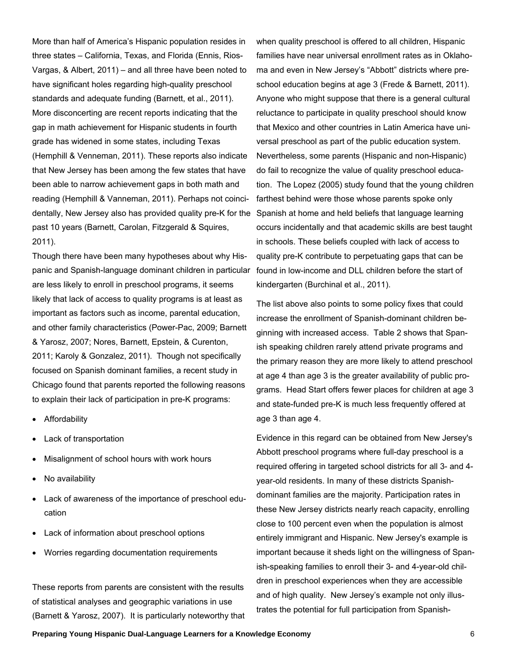More than half of America's Hispanic population resides in three states – California, Texas, and Florida (Ennis, Rios-Vargas, & Albert, 2011) – and all three have been noted to have significant holes regarding high-quality preschool standards and adequate funding (Barnett, et al., 2011). More disconcerting are recent reports indicating that the gap in math achievement for Hispanic students in fourth grade has widened in some states, including Texas (Hemphill & Venneman, 2011). These reports also indicate that New Jersey has been among the few states that have been able to narrow achievement gaps in both math and reading (Hemphill & Vanneman, 2011). Perhaps not coincidentally, New Jersey also has provided quality pre-K for the Spanish at home and held beliefs that language learning past 10 years (Barnett, Carolan, Fitzgerald & Squires, 2011).

Though there have been many hypotheses about why Hispanic and Spanish-language dominant children in particular are less likely to enroll in preschool programs, it seems likely that lack of access to quality programs is at least as important as factors such as income, parental education, and other family characteristics (Power-Pac, 2009; Barnett & Yarosz, 2007; Nores, Barnett, Epstein, & Curenton, 2011; Karoly & Gonzalez, 2011). Though not specifically focused on Spanish dominant families, a recent study in Chicago found that parents reported the following reasons to explain their lack of participation in pre-K programs:

- Affordability
- Lack of transportation
- Misalignment of school hours with work hours
- No availability
- Lack of awareness of the importance of preschool education
- Lack of information about preschool options
- Worries regarding documentation requirements

These reports from parents are consistent with the results of statistical analyses and geographic variations in use (Barnett & Yarosz, 2007). It is particularly noteworthy that

when quality preschool is offered to all children, Hispanic families have near universal enrollment rates as in Oklahoma and even in New Jersey's "Abbott" districts where preschool education begins at age 3 (Frede & Barnett, 2011). Anyone who might suppose that there is a general cultural reluctance to participate in quality preschool should know that Mexico and other countries in Latin America have universal preschool as part of the public education system. Nevertheless, some parents (Hispanic and non-Hispanic) do fail to recognize the value of quality preschool education. The Lopez (2005) study found that the young children farthest behind were those whose parents spoke only occurs incidentally and that academic skills are best taught in schools. These beliefs coupled with lack of access to quality pre-K contribute to perpetuating gaps that can be found in low-income and DLL children before the start of kindergarten (Burchinal et al., 2011).

The list above also points to some policy fixes that could increase the enrollment of Spanish-dominant children beginning with increased access. Table 2 shows that Spanish speaking children rarely attend private programs and the primary reason they are more likely to attend preschool at age 4 than age 3 is the greater availability of public programs. Head Start offers fewer places for children at age 3 and state-funded pre-K is much less frequently offered at age 3 than age 4.

Evidence in this regard can be obtained from New Jersey's Abbott preschool programs where full-day preschool is a required offering in targeted school districts for all 3- and 4 year-old residents. In many of these districts Spanishdominant families are the majority. Participation rates in these New Jersey districts nearly reach capacity, enrolling close to 100 percent even when the population is almost entirely immigrant and Hispanic. New Jersey's example is important because it sheds light on the willingness of Spanish-speaking families to enroll their 3- and 4-year-old children in preschool experiences when they are accessible and of high quality. New Jersey's example not only illustrates the potential for full participation from Spanish-

**Preparing Young Hispanic Dual-Language Learners for a Knowledge Economy** 6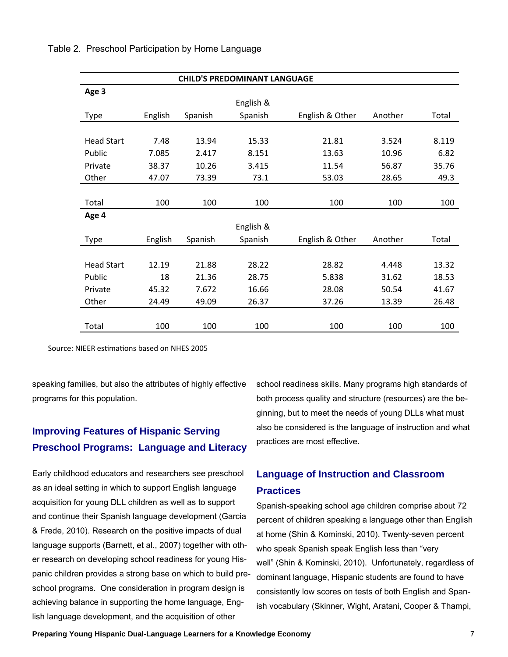| <b>CHILD'S PREDOMINANT LANGUAGE</b> |         |         |           |                 |         |       |  |  |  |
|-------------------------------------|---------|---------|-----------|-----------------|---------|-------|--|--|--|
| Age 3                               |         |         |           |                 |         |       |  |  |  |
|                                     |         |         | English & |                 |         |       |  |  |  |
| <b>Type</b>                         | English | Spanish | Spanish   | English & Other | Another | Total |  |  |  |
|                                     |         |         |           |                 |         |       |  |  |  |
| <b>Head Start</b>                   | 7.48    | 13.94   | 15.33     | 21.81           | 3.524   | 8.119 |  |  |  |
| Public                              | 7.085   | 2.417   | 8.151     | 13.63           | 10.96   | 6.82  |  |  |  |
| Private                             | 38.37   | 10.26   | 3.415     | 11.54           | 56.87   | 35.76 |  |  |  |
| Other                               | 47.07   | 73.39   | 73.1      | 53.03           | 28.65   | 49.3  |  |  |  |
|                                     |         |         |           |                 |         |       |  |  |  |
| Total                               | 100     | 100     | 100       | 100             | 100     | 100   |  |  |  |
| Age 4                               |         |         |           |                 |         |       |  |  |  |
|                                     |         |         | English & |                 |         |       |  |  |  |
| Type                                | English | Spanish | Spanish   | English & Other | Another | Total |  |  |  |
|                                     |         |         |           |                 |         |       |  |  |  |
| <b>Head Start</b>                   | 12.19   | 21.88   | 28.22     | 28.82           | 4.448   | 13.32 |  |  |  |
| Public                              | 18      | 21.36   | 28.75     | 5.838           | 31.62   | 18.53 |  |  |  |
| Private                             | 45.32   | 7.672   | 16.66     | 28.08           | 50.54   | 41.67 |  |  |  |
| Other                               | 24.49   | 49.09   | 26.37     | 37.26           | 13.39   | 26.48 |  |  |  |
|                                     |         |         |           |                 |         |       |  |  |  |
| Total                               | 100     | 100     | 100       | 100             | 100     | 100   |  |  |  |

#### Table 2. Preschool Participation by Home Language

Source: NIEER estimations based on NHES 2005

speaking families, but also the attributes of highly effective programs for this population.

#### **Improving Features of Hispanic Serving Preschool Programs: Language and Literacy**

Early childhood educators and researchers see preschool as an ideal setting in which to support English language acquisition for young DLL children as well as to support and continue their Spanish language development (Garcia & Frede, 2010). Research on the positive impacts of dual language supports (Barnett, et al., 2007) together with other research on developing school readiness for young Hispanic children provides a strong base on which to build preschool programs. One consideration in program design is achieving balance in supporting the home language, English language development, and the acquisition of other

school readiness skills. Many programs high standards of both process quality and structure (resources) are the beginning, but to meet the needs of young DLLs what must also be considered is the language of instruction and what practices are most effective.

#### **Language of Instruction and Classroom Practices**

Spanish-speaking school age children comprise about 72 percent of children speaking a language other than English at home (Shin & Kominski, 2010). Twenty-seven percent who speak Spanish speak English less than "very well" (Shin & Kominski, 2010). Unfortunately, regardless of dominant language, Hispanic students are found to have consistently low scores on tests of both English and Spanish vocabulary (Skinner, Wight, Aratani, Cooper & Thampi,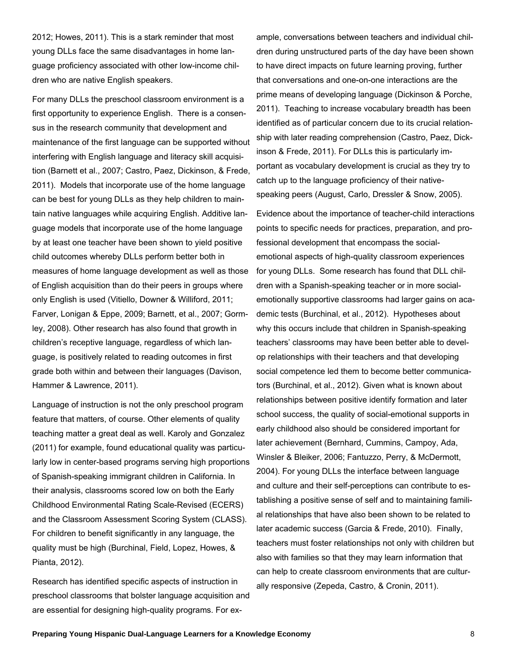2012; Howes, 2011). This is a stark reminder that most young DLLs face the same disadvantages in home language proficiency associated with other low-income children who are native English speakers.

For many DLLs the preschool classroom environment is a first opportunity to experience English. There is a consensus in the research community that development and maintenance of the first language can be supported without interfering with English language and literacy skill acquisition (Barnett et al., 2007; Castro, Paez, Dickinson, & Frede, 2011). Models that incorporate use of the home language can be best for young DLLs as they help children to maintain native languages while acquiring English. Additive language models that incorporate use of the home language by at least one teacher have been shown to yield positive child outcomes whereby DLLs perform better both in measures of home language development as well as those of English acquisition than do their peers in groups where only English is used (Vitiello, Downer & Williford, 2011; Farver, Lonigan & Eppe, 2009; Barnett, et al., 2007; Gormley, 2008). Other research has also found that growth in children's receptive language, regardless of which language, is positively related to reading outcomes in first grade both within and between their languages (Davison, Hammer & Lawrence, 2011).

Language of instruction is not the only preschool program feature that matters, of course. Other elements of quality teaching matter a great deal as well. Karoly and Gonzalez (2011) for example, found educational quality was particularly low in center-based programs serving high proportions of Spanish-speaking immigrant children in California. In their analysis, classrooms scored low on both the Early Childhood Environmental Rating Scale-Revised (ECERS) and the Classroom Assessment Scoring System (CLASS). For children to benefit significantly in any language, the quality must be high (Burchinal, Field, Lopez, Howes, & Pianta, 2012).

Research has identified specific aspects of instruction in preschool classrooms that bolster language acquisition and are essential for designing high-quality programs. For ex-

ample, conversations between teachers and individual children during unstructured parts of the day have been shown to have direct impacts on future learning proving, further that conversations and one-on-one interactions are the prime means of developing language (Dickinson & Porche, 2011). Teaching to increase vocabulary breadth has been identified as of particular concern due to its crucial relationship with later reading comprehension (Castro, Paez, Dickinson & Frede, 2011). For DLLs this is particularly important as vocabulary development is crucial as they try to catch up to the language proficiency of their nativespeaking peers (August, Carlo, Dressler & Snow, 2005).

Evidence about the importance of teacher-child interactions points to specific needs for practices, preparation, and professional development that encompass the socialemotional aspects of high-quality classroom experiences for young DLLs. Some research has found that DLL children with a Spanish-speaking teacher or in more socialemotionally supportive classrooms had larger gains on academic tests (Burchinal, et al., 2012). Hypotheses about why this occurs include that children in Spanish-speaking teachers' classrooms may have been better able to develop relationships with their teachers and that developing social competence led them to become better communicators (Burchinal, et al., 2012). Given what is known about relationships between positive identify formation and later school success, the quality of social-emotional supports in early childhood also should be considered important for later achievement (Bernhard, Cummins, Campoy, Ada, Winsler & Bleiker, 2006; Fantuzzo, Perry, & McDermott, 2004). For young DLLs the interface between language and culture and their self-perceptions can contribute to establishing a positive sense of self and to maintaining familial relationships that have also been shown to be related to later academic success (Garcia & Frede, 2010). Finally, teachers must foster relationships not only with children but also with families so that they may learn information that can help to create classroom environments that are culturally responsive (Zepeda, Castro, & Cronin, 2011).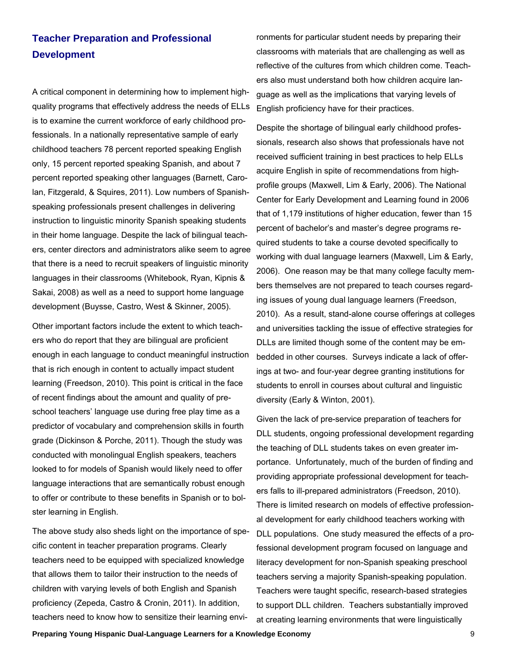#### **Teacher Preparation and Professional Development**

A critical component in determining how to implement highquality programs that effectively address the needs of ELLs is to examine the current workforce of early childhood professionals. In a nationally representative sample of early childhood teachers 78 percent reported speaking English only, 15 percent reported speaking Spanish, and about 7 percent reported speaking other languages (Barnett, Carolan, Fitzgerald, & Squires, 2011). Low numbers of Spanishspeaking professionals present challenges in delivering instruction to linguistic minority Spanish speaking students in their home language. Despite the lack of bilingual teachers, center directors and administrators alike seem to agree that there is a need to recruit speakers of linguistic minority languages in their classrooms (Whitebook, Ryan, Kipnis & Sakai, 2008) as well as a need to support home language development (Buysse, Castro, West & Skinner, 2005).

Other important factors include the extent to which teachers who do report that they are bilingual are proficient enough in each language to conduct meaningful instruction that is rich enough in content to actually impact student learning (Freedson, 2010). This point is critical in the face of recent findings about the amount and quality of preschool teachers' language use during free play time as a predictor of vocabulary and comprehension skills in fourth grade (Dickinson & Porche, 2011). Though the study was conducted with monolingual English speakers, teachers looked to for models of Spanish would likely need to offer language interactions that are semantically robust enough to offer or contribute to these benefits in Spanish or to bolster learning in English.

The above study also sheds light on the importance of specific content in teacher preparation programs. Clearly teachers need to be equipped with specialized knowledge that allows them to tailor their instruction to the needs of children with varying levels of both English and Spanish proficiency (Zepeda, Castro & Cronin, 2011). In addition, teachers need to know how to sensitize their learning envi-

ronments for particular student needs by preparing their classrooms with materials that are challenging as well as reflective of the cultures from which children come. Teachers also must understand both how children acquire language as well as the implications that varying levels of English proficiency have for their practices.

Despite the shortage of bilingual early childhood professionals, research also shows that professionals have not received sufficient training in best practices to help ELLs acquire English in spite of recommendations from highprofile groups (Maxwell, Lim & Early, 2006). The National Center for Early Development and Learning found in 2006 that of 1,179 institutions of higher education, fewer than 15 percent of bachelor's and master's degree programs required students to take a course devoted specifically to working with dual language learners (Maxwell, Lim & Early, 2006). One reason may be that many college faculty members themselves are not prepared to teach courses regarding issues of young dual language learners (Freedson, 2010). As a result, stand-alone course offerings at colleges and universities tackling the issue of effective strategies for DLLs are limited though some of the content may be embedded in other courses. Surveys indicate a lack of offerings at two- and four-year degree granting institutions for students to enroll in courses about cultural and linguistic diversity (Early & Winton, 2001).

Given the lack of pre-service preparation of teachers for DLL students, ongoing professional development regarding the teaching of DLL students takes on even greater importance. Unfortunately, much of the burden of finding and providing appropriate professional development for teachers falls to ill-prepared administrators (Freedson, 2010). There is limited research on models of effective professional development for early childhood teachers working with DLL populations. One study measured the effects of a professional development program focused on language and literacy development for non-Spanish speaking preschool teachers serving a majority Spanish-speaking population. Teachers were taught specific, research-based strategies to support DLL children. Teachers substantially improved at creating learning environments that were linguistically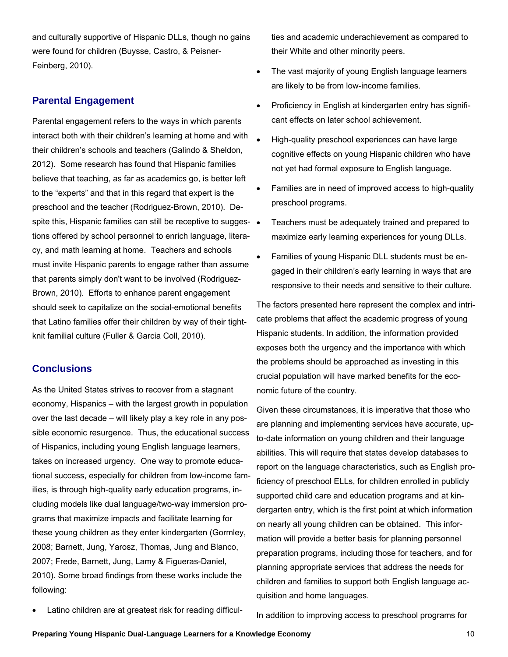and culturally supportive of Hispanic DLLs, though no gains were found for children (Buysse, Castro, & Peisner-Feinberg, 2010).

#### **Parental Engagement**

Parental engagement refers to the ways in which parents interact both with their children's learning at home and with their children's schools and teachers (Galindo & Sheldon, 2012). Some research has found that Hispanic families believe that teaching, as far as academics go, is better left to the "experts" and that in this regard that expert is the preschool and the teacher (Rodriguez-Brown, 2010). Despite this, Hispanic families can still be receptive to sugges- • tions offered by school personnel to enrich language, literacy, and math learning at home. Teachers and schools must invite Hispanic parents to engage rather than assume that parents simply don't want to be involved (Rodriguez-Brown, 2010). Efforts to enhance parent engagement should seek to capitalize on the social-emotional benefits that Latino families offer their children by way of their tightknit familial culture (Fuller & Garcia Coll, 2010).

#### **Conclusions**

As the United States strives to recover from a stagnant economy, Hispanics – with the largest growth in population over the last decade – will likely play a key role in any possible economic resurgence. Thus, the educational success of Hispanics, including young English language learners, takes on increased urgency. One way to promote educational success, especially for children from low-income families, is through high-quality early education programs, including models like dual language/two-way immersion programs that maximize impacts and facilitate learning for these young children as they enter kindergarten (Gormley, 2008; Barnett, Jung, Yarosz, Thomas, Jung and Blanco, 2007; Frede, Barnett, Jung, Lamy & Figueras-Daniel, 2010). Some broad findings from these works include the following:

Latino children are at greatest risk for reading difficul-

ties and academic underachievement as compared to their White and other minority peers.

- The vast majority of young English language learners are likely to be from low-income families.
- Proficiency in English at kindergarten entry has significant effects on later school achievement.
- High-quality preschool experiences can have large cognitive effects on young Hispanic children who have not yet had formal exposure to English language.
- Families are in need of improved access to high-quality preschool programs.
- Teachers must be adequately trained and prepared to maximize early learning experiences for young DLLs.
- Families of young Hispanic DLL students must be engaged in their children's early learning in ways that are responsive to their needs and sensitive to their culture.

The factors presented here represent the complex and intricate problems that affect the academic progress of young Hispanic students. In addition, the information provided exposes both the urgency and the importance with which the problems should be approached as investing in this crucial population will have marked benefits for the economic future of the country.

Given these circumstances, it is imperative that those who are planning and implementing services have accurate, upto-date information on young children and their language abilities. This will require that states develop databases to report on the language characteristics, such as English proficiency of preschool ELLs, for children enrolled in publicly supported child care and education programs and at kindergarten entry, which is the first point at which information on nearly all young children can be obtained. This information will provide a better basis for planning personnel preparation programs, including those for teachers, and for planning appropriate services that address the needs for children and families to support both English language acquisition and home languages.

In addition to improving access to preschool programs for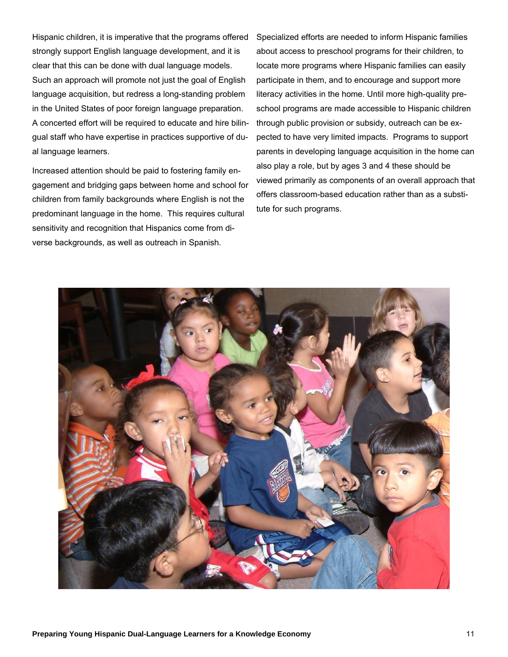Hispanic children, it is imperative that the programs offered strongly support English language development, and it is clear that this can be done with dual language models. Such an approach will promote not just the goal of English language acquisition, but redress a long-standing problem in the United States of poor foreign language preparation. A concerted effort will be required to educate and hire bilingual staff who have expertise in practices supportive of dual language learners.

Increased attention should be paid to fostering family engagement and bridging gaps between home and school for children from family backgrounds where English is not the predominant language in the home. This requires cultural sensitivity and recognition that Hispanics come from diverse backgrounds, as well as outreach in Spanish.

Specialized efforts are needed to inform Hispanic families about access to preschool programs for their children, to locate more programs where Hispanic families can easily participate in them, and to encourage and support more literacy activities in the home. Until more high-quality preschool programs are made accessible to Hispanic children through public provision or subsidy, outreach can be expected to have very limited impacts. Programs to support parents in developing language acquisition in the home can also play a role, but by ages 3 and 4 these should be viewed primarily as components of an overall approach that offers classroom-based education rather than as a substitute for such programs.

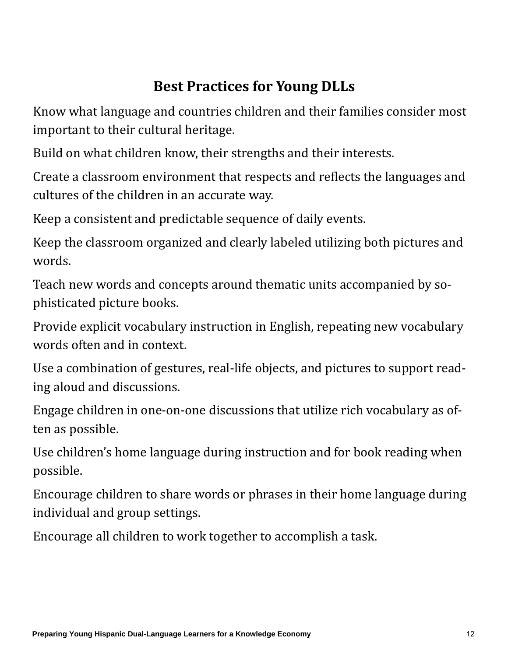### **Best Practices for Young DLLs**

Know what language and countries children and their families consider most important to their cultural heritage.

Build on what children know, their strengths and their interests.

Create a classroom environment that respects and reflects the languages and cultures of the children in an accurate way.

Keep a consistent and predictable sequence of daily events.

Keep the classroom organized and clearly labeled utilizing both pictures and words. 

Teach new words and concepts around thematic units accompanied by sophisticated picture books.

Provide explicit vocabulary instruction in English, repeating new vocabulary words often and in context.

Use a combination of gestures, real-life objects, and pictures to support reading aloud and discussions.

Engage children in one-on-one discussions that utilize rich vocabulary as often as possible.

Use children's home language during instruction and for book reading when possible. 

Encourage children to share words or phrases in their home language during individual and group settings.

Encourage all children to work together to accomplish a task.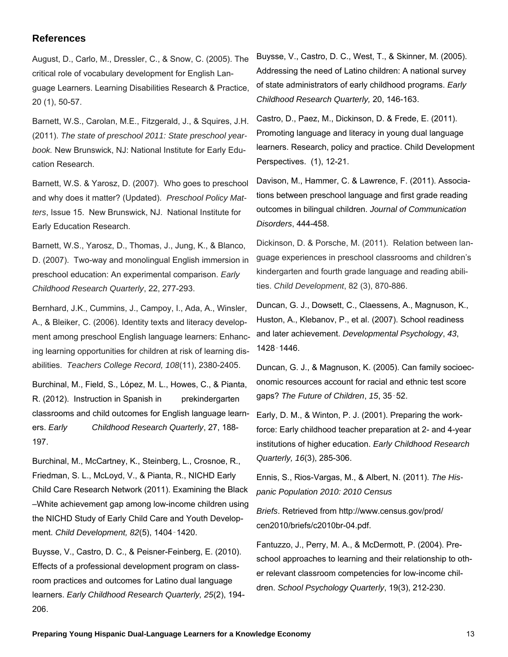#### **References**

August, D., Carlo, M., Dressler, C., & Snow, C. (2005). The critical role of vocabulary development for English Language Learners. Learning Disabilities Research & Practice, 20 (1), 50-57.

Barnett, W.S., Carolan, M.E., Fitzgerald, J., & Squires, J.H. (2011). *The state of preschool 2011: State preschool yearbook.* New Brunswick, NJ: National Institute for Early Education Research.

Barnett, W.S. & Yarosz, D. (2007). Who goes to preschool and why does it matter? (Updated). *Preschool Policy Matters*, Issue 15. New Brunswick, NJ. National Institute for Early Education Research.

Barnett, W.S., Yarosz, D., Thomas, J., Jung, K., & Blanco, D. (2007). Two-way and monolingual English immersion in preschool education: An experimental comparison. *Early Childhood Research Quarterly*, 22, 277-293.

Bernhard, J.K., Cummins, J., Campoy, I., Ada, A., Winsler, A., & Bleiker, C. (2006). Identity texts and literacy development among preschool English language learners: Enhancing learning opportunities for children at risk of learning disabilities. *Teachers College Record, 108*(11), 2380-2405.

Burchinal, M., Field, S., López, M. L., Howes, C., & Pianta, R. (2012). Instruction in Spanish in prekindergarten classrooms and child outcomes for English language learners. *Early Childhood Research Quarterly*, 27, 188- 197.

Burchinal, M., McCartney, K., Steinberg, L., Crosnoe, R., Friedman, S. L., McLoyd, V., & Pianta, R., NICHD Early Child Care Research Network (2011). Examining the Black –White achievement gap among low-income children using the NICHD Study of Early Child Care and Youth Development. *Child Development, 82*(5), 1404‑1420.

Buysse, V., Castro, D. C., & Peisner-Feinberg, E. (2010). Effects of a professional development program on classroom practices and outcomes for Latino dual language learners. *Early Childhood Research Quarterly, 25*(2), 194- 206.

Buysse, V., Castro, D. C., West, T., & Skinner, M. (2005). Addressing the need of Latino children: A national survey of state administrators of early childhood programs. *Early Childhood Research Quarterly,* 20, 146-163.

Castro, D., Paez, M., Dickinson, D. & Frede, E. (2011). Promoting language and literacy in young dual language learners. Research, policy and practice. Child Development Perspectives. (1), 12-21.

Davison, M., Hammer, C. & Lawrence, F. (2011). Associations between preschool language and first grade reading outcomes in bilingual children. *Journal of Communication Disorders*, 444-458.

Dickinson, D. & Porsche, M. (2011). Relation between language experiences in preschool classrooms and children's kindergarten and fourth grade language and reading abilities. *Child Development*, 82 (3), 870-886.

Duncan, G. J., Dowsett, C., Claessens, A., Magnuson, K., Huston, A., Klebanov, P., et al. (2007). School readiness and later achievement. *Developmental Psychology*, *43*, 1428‑1446.

Duncan, G. J., & Magnuson, K. (2005). Can family socioeconomic resources account for racial and ethnic test score gaps? *The Future of Children*, *15*, 35‑52.

Early, D. M., & Winton, P. J. (2001). Preparing the workforce: Early childhood teacher preparation at 2- and 4-year institutions of higher education. *Early Childhood Research Quarterly, 16*(3), 285-306.

Ennis, S., Rios-Vargas, M., & Albert, N. (2011). *The Hispanic Population 2010: 2010 Census* 

*Briefs*. Retrieved from http://www.census.gov/prod/ cen2010/briefs/c2010br-04.pdf.

Fantuzzo, J., Perry, M. A., & McDermott, P. (2004). Preschool approaches to learning and their relationship to other relevant classroom competencies for low-income children. *School Psychology Quarterly*, 19(3), 212-230.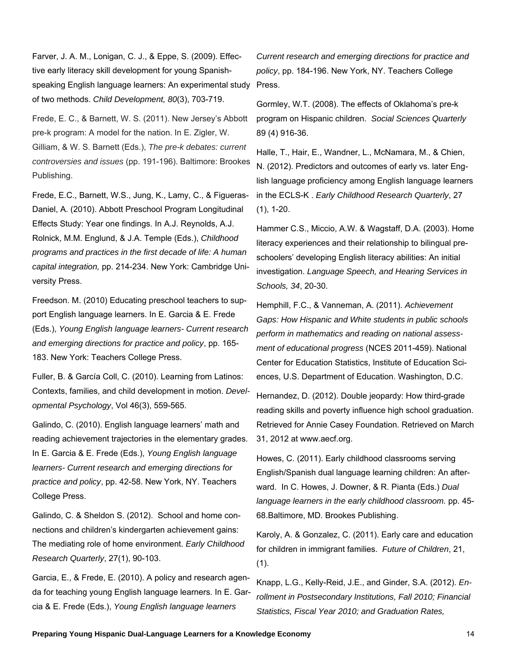Farver, J. A. M., Lonigan, C. J., & Eppe, S. (2009). Effective early literacy skill development for young Spanishspeaking English language learners: An experimental study of two methods. *Child Development, 80*(3), 703-719.

Frede, E. C., & Barnett, W. S. (2011). New Jersey's Abbott pre-k program: A model for the nation. In E. Zigler, W. Gilliam, & W. S. Barnett (Eds.), *The pre-k debates: current controversies and issues* (pp. 191-196). Baltimore: Brookes Publishing.

Frede, E.C., Barnett, W.S., Jung, K., Lamy, C., & Figueras-Daniel, A. (2010). Abbott Preschool Program Longitudinal Effects Study: Year one findings. In A.J. Reynolds, A.J. Rolnick, M.M. Englund, & J.A. Temple (Eds.), *Childhood programs and practices in the first decade of life: A human capital integration,* pp. 214-234. New York: Cambridge University Press.

Freedson. M. (2010) Educating preschool teachers to support English language learners. In E. Garcia & E. Frede (Eds.), *Young English language learners- Current research and emerging directions for practice and policy*, pp. 165- 183. New York: Teachers College Press.

Fuller, B. & García Coll, C. (2010). Learning from Latinos: Contexts, families, and child development in motion. *Developmental Psychology*, Vol 46(3), 559-565.

Galindo, C. (2010). English language learners' math and reading achievement trajectories in the elementary grades. In E. Garcia & E. Frede (Eds.), *Young English language learners- Current research and emerging directions for practice and policy*, pp. 42-58. New York, NY. Teachers College Press.

Galindo, C. & Sheldon S. (2012). School and home connections and children's kindergarten achievement gains: The mediating role of home environment. *Early Childhood Research Quarterly*, 27(1), 90-103.

Garcia, E., & Frede, E. (2010). A policy and research agenda for teaching young English language learners. In E. Garcia & E. Frede (Eds.), *Young English language learners* 

*Current research and emerging directions for practice and policy*, pp. 184-196. New York, NY. Teachers College Press.

Gormley, W.T. (2008). The effects of Oklahoma's pre-k program on Hispanic children. *Social Sciences Quarterly* 89 (4) 916-36.

Halle, T., Hair, E., Wandner, L., McNamara, M., & Chien, N. (2012). Predictors and outcomes of early vs. later English language proficiency among English language learners in the ECLS-K . *Early Childhood Research Quarterly*, 27 (1), 1-20.

Hammer C.S., Miccio, A.W. & Wagstaff, D.A. (2003). Home literacy experiences and their relationship to bilingual preschoolers' developing English literacy abilities: An initial investigation. *Language Speech, and Hearing Services in Schools, 34*, 20-30.

Hemphill, F.C., & Vanneman, A. (2011). *Achievement Gaps: How Hispanic and White students in public schools perform in mathematics and reading on national assessment of educational progress* (NCES 2011-459). National Center for Education Statistics, Institute of Education Sciences, U.S. Department of Education. Washington, D.C.

Hernandez, D. (2012). Double jeopardy: How third-grade reading skills and poverty influence high school graduation. Retrieved for Annie Casey Foundation. Retrieved on March 31, 2012 at www.aecf.org.

Howes, C. (2011). Early childhood classrooms serving English/Spanish dual language learning children: An afterward. In C. Howes, J. Downer, & R. Pianta (Eds.) *Dual language learners in the early childhood classroom.* pp. 45- 68.Baltimore, MD. Brookes Publishing.

Karoly, A. & Gonzalez, C. (2011). Early care and education for children in immigrant families. *Future of Children*, 21,  $(1).$ 

Knapp, L.G., Kelly-Reid, J.E., and Ginder, S.A. (2012). *Enrollment in Postsecondary Institutions, Fall 2010; Financial Statistics, Fiscal Year 2010; and Graduation Rates,*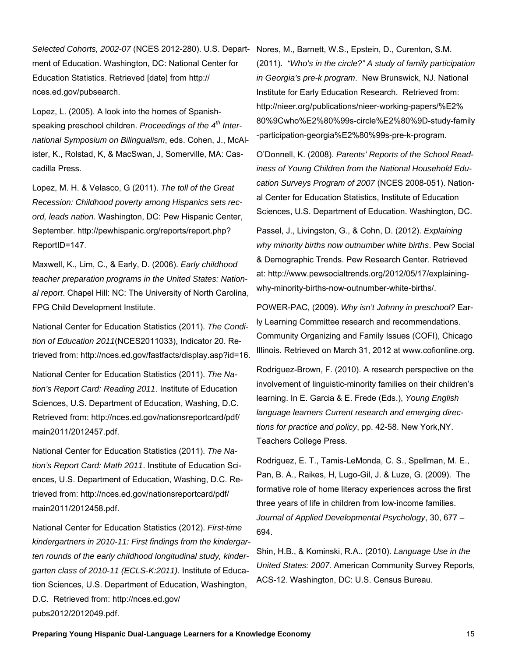*Selected Cohorts, 2002-07* (NCES 2012-280). U.S. Department of Education. Washington, DC: National Center for Education Statistics. Retrieved [date] from http:// nces.ed.gov/pubsearch.

Lopez, L. (2005). A look into the homes of Spanishspeaking preschool children. *Proceedings of the 4th International Symposium on Bilingualism*, eds. Cohen, J., McAlister, K., Rolstad, K, & MacSwan, J, Somerville, MA: Cascadilla Press.

Lopez, M. H. & Velasco, G (2011). *The toll of the Great Recession: Childhood poverty among Hispanics sets record, leads nation.* Washington, DC: Pew Hispanic Center, September. http://pewhispanic.org/reports/report.php? ReportID=147.

Maxwell, K., Lim, C., & Early, D. (2006). *Early childhood teacher preparation programs in the United States: National report*. Chapel Hill: NC: The University of North Carolina, FPG Child Development Institute.

National Center for Education Statistics (2011). *The Condition of Education 2011*(NCES2011033), Indicator 20. Retrieved from: http://nces.ed.gov/fastfacts/display.asp?id=16.

National Center for Education Statistics (2011). *The Nation's Report Card: Reading 2011*. Institute of Education Sciences, U.S. Department of Education, Washing, D.C. Retrieved from: http://nces.ed.gov/nationsreportcard/pdf/ main2011/2012457.pdf.

National Center for Education Statistics (2011). *The Nation's Report Card: Math 2011*. Institute of Education Sciences, U.S. Department of Education, Washing, D.C. Retrieved from: http://nces.ed.gov/nationsreportcard/pdf/ main2011/2012458.pdf.

National Center for Education Statistics (2012). *First-time kindergartners in 2010-11: First findings from the kindergarten rounds of the early childhood longitudinal study, kindergarten class of 2010-11 (ECLS-K:2011).* Institute of Education Sciences, U.S. Department of Education, Washington, D.C. Retrieved from: http://nces.ed.gov/ pubs2012/2012049.pdf.

Nores, M., Barnett, W.S., Epstein, D., Curenton, S.M. (2011). *"Who's in the circle?" A study of family participation in Georgia's pre-k program*. New Brunswick, NJ. National Institute for Early Education Research. Retrieved from: http://nieer.org/publications/nieer-working-papers/%E2% 80%9Cwho%E2%80%99s-circle%E2%80%9D-study-family -participation-georgia%E2%80%99s-pre-k-program.

O'Donnell, K. (2008). *Parents' Reports of the School Readiness of Young Children from the National Household Education Surveys Program of 2007* (NCES 2008-051). National Center for Education Statistics, Institute of Education Sciences, U.S. Department of Education. Washington, DC.

Passel, J., Livingston, G., & Cohn, D. (2012). *Explaining why minority births now outnumber white births*. Pew Social & Demographic Trends. Pew Research Center. Retrieved at: http://www.pewsocialtrends.org/2012/05/17/explainingwhy-minority-births-now-outnumber-white-births/.

POWER-PAC, (2009). *Why isn't Johnny in preschool?* Early Learning Committee research and recommendations. Community Organizing and Family Issues (COFI), Chicago Illinois. Retrieved on March 31, 2012 at www.cofionline.org.

Rodriguez-Brown, F. (2010). A research perspective on the involvement of linguistic-minority families on their children's learning. In E. Garcia & E. Frede (Eds.), *Young English language learners Current research and emerging directions for practice and policy*, pp. 42-58. New York,NY. Teachers College Press.

Rodriguez, E. T., Tamis-LeMonda, C. S., Spellman, M. E., Pan, B. A., Raikes, H, Lugo-Gil, J. & Luze, G. (2009). The formative role of home literacy experiences across the first three years of life in children from low-income families. *Journal of Applied Developmental Psychology*, 30, 677 – 694.

Shin, H.B., & Kominski, R.A.. (2010). *Language Use in the United States: 2007.* American Community Survey Reports, ACS-12. Washington, DC: U.S. Census Bureau.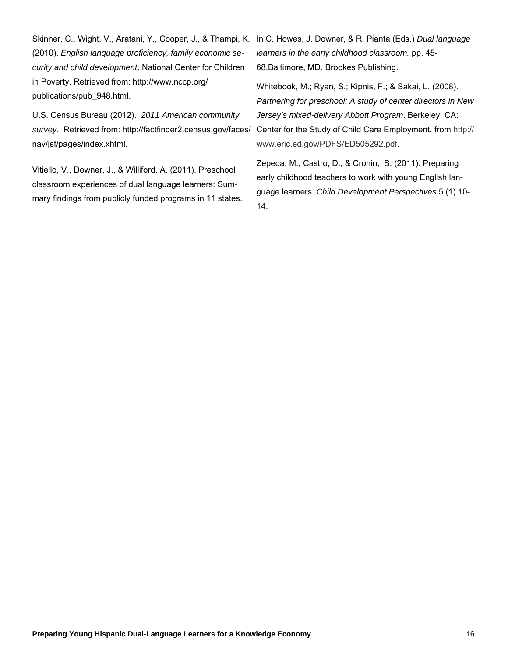(2010). *English language proficiency, family economic security and child development*. National Center for Children in Poverty. Retrieved from: http://www.nccp.org/ publications/pub\_948.html.

U.S. Census Bureau (2012). *2011 American community survey*. Retrieved from: http://factfinder2.census.gov/faces/ nav/jsf/pages/index.xhtml.

Vitiello, V., Downer, J., & Williford, A. (2011). Preschool classroom experiences of dual language learners: Summary findings from publicly funded programs in 11 states.

Skinner, C., Wight, V., Aratani, Y., Cooper, J., & Thampi, K. In C. Howes, J. Downer, & R. Pianta (Eds.) *Dual language learners in the early childhood classroom.* pp. 45- 68.Baltimore, MD. Brookes Publishing.

> Whitebook, M.; Ryan, S.; Kipnis, F.; & Sakai, L. (2008). *Partnering for preschool: A study of center directors in New Jersey's mixed-delivery Abbott Pr*o*gram*. Berkeley, CA: Center for the Study of Child Care Employment. from http:// www.eric.ed.gov/PDFS/ED505292.pdf.

Zepeda, M., Castro, D., & Cronin, S. (2011). Preparing early childhood teachers to work with young English language learners. *Child Development Perspectives* 5 (1) 10- 14.